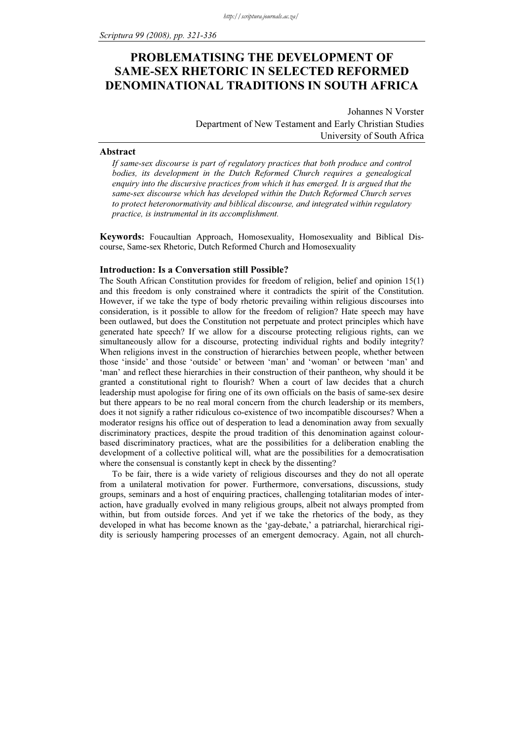# PROBLEMATISING THE DEVELOPMENT OF SAME-SEX RHETORIC IN SELECTED REFORMED DENOMINATIONAL TRADITIONS IN SOUTH AFRICA

Johannes N Vorster Department of New Testament and Early Christian Studies University of South Africa

#### Abstract

If same-sex discourse is part of regulatory practices that both produce and control bodies, its development in the Dutch Reformed Church requires a genealogical enquiry into the discursive practices from which it has emerged. It is argued that the same-sex discourse which has developed within the Dutch Reformed Church serves to protect heteronormativity and biblical discourse, and integrated within regulatory practice, is instrumental in its accomplishment.

Keywords: Foucaultian Approach, Homosexuality, Homosexuality and Biblical Discourse, Same-sex Rhetoric, Dutch Reformed Church and Homosexuality

# Introduction: Is a Conversation still Possible?

The South African Constitution provides for freedom of religion, belief and opinion 15(1) and this freedom is only constrained where it contradicts the spirit of the Constitution. However, if we take the type of body rhetoric prevailing within religious discourses into consideration, is it possible to allow for the freedom of religion? Hate speech may have been outlawed, but does the Constitution not perpetuate and protect principles which have generated hate speech? If we allow for a discourse protecting religious rights, can we simultaneously allow for a discourse, protecting individual rights and bodily integrity? When religions invest in the construction of hierarchies between people, whether between those 'inside' and those 'outside' or between 'man' and 'woman' or between 'man' and 'man' and reflect these hierarchies in their construction of their pantheon, why should it be granted a constitutional right to flourish? When a court of law decides that a church leadership must apologise for firing one of its own officials on the basis of same-sex desire but there appears to be no real moral concern from the church leadership or its members, does it not signify a rather ridiculous co-existence of two incompatible discourses? When a moderator resigns his office out of desperation to lead a denomination away from sexually discriminatory practices, despite the proud tradition of this denomination against colourbased discriminatory practices, what are the possibilities for a deliberation enabling the development of a collective political will, what are the possibilities for a democratisation where the consensual is constantly kept in check by the dissenting?

To be fair, there is a wide variety of religious discourses and they do not all operate from a unilateral motivation for power. Furthermore, conversations, discussions, study groups, seminars and a host of enquiring practices, challenging totalitarian modes of interaction, have gradually evolved in many religious groups, albeit not always prompted from within, but from outside forces. And yet if we take the rhetorics of the body, as they developed in what has become known as the 'gay-debate,' a patriarchal, hierarchical rigidity is seriously hampering processes of an emergent democracy. Again, not all church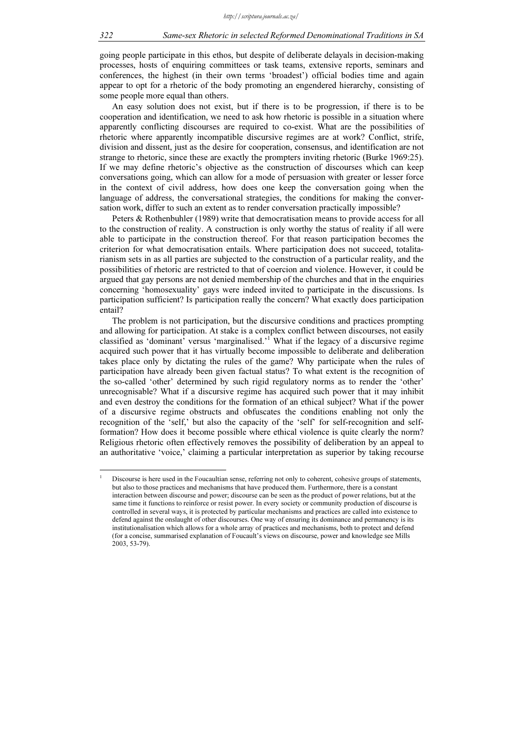going people participate in this ethos, but despite of deliberate delayals in decision-making processes, hosts of enquiring committees or task teams, extensive reports, seminars and conferences, the highest (in their own terms 'broadest') official bodies time and again appear to opt for a rhetoric of the body promoting an engendered hierarchy, consisting of some people more equal than others.

An easy solution does not exist, but if there is to be progression, if there is to be cooperation and identification, we need to ask how rhetoric is possible in a situation where apparently conflicting discourses are required to co-exist. What are the possibilities of rhetoric where apparently incompatible discursive regimes are at work? Conflict, strife, division and dissent, just as the desire for cooperation, consensus, and identification are not strange to rhetoric, since these are exactly the prompters inviting rhetoric (Burke 1969:25). If we may define rhetoric's objective as the construction of discourses which can keep conversations going, which can allow for a mode of persuasion with greater or lesser force in the context of civil address, how does one keep the conversation going when the language of address, the conversational strategies, the conditions for making the conversation work, differ to such an extent as to render conversation practically impossible?

Peters & Rothenbuhler (1989) write that democratisation means to provide access for all to the construction of reality. A construction is only worthy the status of reality if all were able to participate in the construction thereof. For that reason participation becomes the criterion for what democratisation entails. Where participation does not succeed, totalitarianism sets in as all parties are subjected to the construction of a particular reality, and the possibilities of rhetoric are restricted to that of coercion and violence. However, it could be argued that gay persons are not denied membership of the churches and that in the enquiries concerning 'homosexuality' gays were indeed invited to participate in the discussions. Is participation sufficient? Is participation really the concern? What exactly does participation entail?

The problem is not participation, but the discursive conditions and practices prompting and allowing for participation. At stake is a complex conflict between discourses, not easily classified as 'dominant' versus 'marginalised.'<sup>1</sup> What if the legacy of a discursive regime acquired such power that it has virtually become impossible to deliberate and deliberation takes place only by dictating the rules of the game? Why participate when the rules of participation have already been given factual status? To what extent is the recognition of the so-called 'other' determined by such rigid regulatory norms as to render the 'other' unrecognisable? What if a discursive regime has acquired such power that it may inhibit and even destroy the conditions for the formation of an ethical subject? What if the power of a discursive regime obstructs and obfuscates the conditions enabling not only the recognition of the 'self,' but also the capacity of the 'self' for self-recognition and selfformation? How does it become possible where ethical violence is quite clearly the norm? Religious rhetoric often effectively removes the possibility of deliberation by an appeal to an authoritative 'voice,' claiming a particular interpretation as superior by taking recourse

1

Discourse is here used in the Foucaultian sense, referring not only to coherent, cohesive groups of statements, but also to those practices and mechanisms that have produced them. Furthermore, there is a constant interaction between discourse and power; discourse can be seen as the product of power relations, but at the same time it functions to reinforce or resist power. In every society or community production of discourse is controlled in several ways, it is protected by particular mechanisms and practices are called into existence to defend against the onslaught of other discourses. One way of ensuring its dominance and permanency is its institutionalisation which allows for a whole array of practices and mechanisms, both to protect and defend (for a concise, summarised explanation of Foucault's views on discourse, power and knowledge see Mills 2003, 53-79).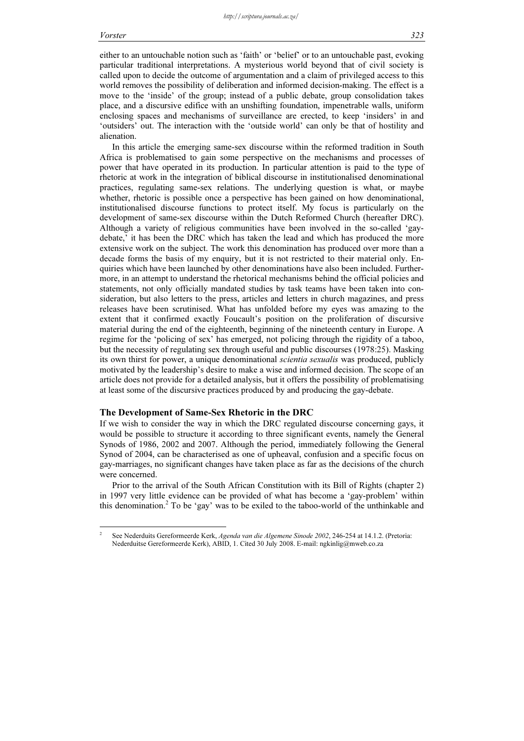either to an untouchable notion such as 'faith' or 'belief' or to an untouchable past, evoking particular traditional interpretations. A mysterious world beyond that of civil society is called upon to decide the outcome of argumentation and a claim of privileged access to this world removes the possibility of deliberation and informed decision-making. The effect is a move to the 'inside' of the group; instead of a public debate, group consolidation takes place, and a discursive edifice with an unshifting foundation, impenetrable walls, uniform enclosing spaces and mechanisms of surveillance are erected, to keep 'insiders' in and 'outsiders' out. The interaction with the 'outside world' can only be that of hostility and alienation.

In this article the emerging same-sex discourse within the reformed tradition in South Africa is problematised to gain some perspective on the mechanisms and processes of power that have operated in its production. In particular attention is paid to the type of rhetoric at work in the integration of biblical discourse in institutionalised denominational practices, regulating same-sex relations. The underlying question is what, or maybe whether, rhetoric is possible once a perspective has been gained on how denominational, institutionalised discourse functions to protect itself. My focus is particularly on the development of same-sex discourse within the Dutch Reformed Church (hereafter DRC). Although a variety of religious communities have been involved in the so-called 'gaydebate,' it has been the DRC which has taken the lead and which has produced the more extensive work on the subject. The work this denomination has produced over more than a decade forms the basis of my enquiry, but it is not restricted to their material only. Enquiries which have been launched by other denominations have also been included. Furthermore, in an attempt to understand the rhetorical mechanisms behind the official policies and statements, not only officially mandated studies by task teams have been taken into consideration, but also letters to the press, articles and letters in church magazines, and press releases have been scrutinised. What has unfolded before my eyes was amazing to the extent that it confirmed exactly Foucault's position on the proliferation of discursive material during the end of the eighteenth, beginning of the nineteenth century in Europe. A regime for the 'policing of sex' has emerged, not policing through the rigidity of a taboo, but the necessity of regulating sex through useful and public discourses (1978:25). Masking its own thirst for power, a unique denominational *scientia sexualis* was produced, publicly motivated by the leadership's desire to make a wise and informed decision. The scope of an article does not provide for a detailed analysis, but it offers the possibility of problematising at least some of the discursive practices produced by and producing the gay-debate.

## The Development of Same-Sex Rhetoric in the DRC

If we wish to consider the way in which the DRC regulated discourse concerning gays, it would be possible to structure it according to three significant events, namely the General Synods of 1986, 2002 and 2007. Although the period, immediately following the General Synod of 2004, can be characterised as one of upheaval, confusion and a specific focus on gay-marriages, no significant changes have taken place as far as the decisions of the church were concerned.

Prior to the arrival of the South African Constitution with its Bill of Rights (chapter 2) in 1997 very little evidence can be provided of what has become a 'gay-problem' within this denomination.<sup>2</sup> To be 'gay' was to be exiled to the taboo-world of the unthinkable and

 2 See Nederduits Gereformeerde Kerk, Agenda van die Algemene Sinode 2002, 246-254 at 14.1.2. (Pretoria: Nederduitse Gereformeerde Kerk), ABID, 1. Cited 30 July 2008. E-mail: ngkinlig@mweb.co.za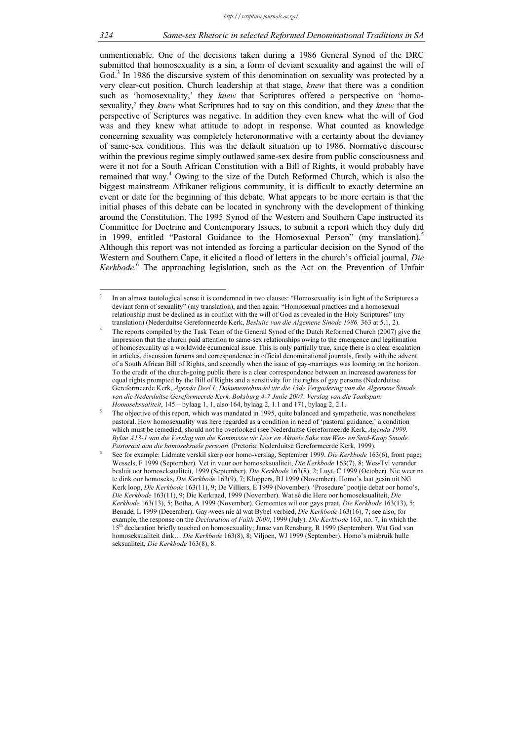unmentionable. One of the decisions taken during a 1986 General Synod of the DRC submitted that homosexuality is a sin, a form of deviant sexuality and against the will of God.<sup>3</sup> In 1986 the discursive system of this denomination on sexuality was protected by a very clear-cut position. Church leadership at that stage, knew that there was a condition such as 'homosexuality,' they knew that Scriptures offered a perspective on 'homosexuality,' they knew what Scriptures had to say on this condition, and they knew that the perspective of Scriptures was negative. In addition they even knew what the will of God was and they knew what attitude to adopt in response. What counted as knowledge concerning sexuality was completely heteronormative with a certainty about the deviancy of same-sex conditions. This was the default situation up to 1986. Normative discourse within the previous regime simply outlawed same-sex desire from public consciousness and were it not for a South African Constitution with a Bill of Rights, it would probably have remained that way.<sup>4</sup> Owing to the size of the Dutch Reformed Church, which is also the biggest mainstream Afrikaner religious community, it is difficult to exactly determine an event or date for the beginning of this debate. What appears to be more certain is that the initial phases of this debate can be located in synchrony with the development of thinking around the Constitution. The 1995 Synod of the Western and Southern Cape instructed its Committee for Doctrine and Contemporary Issues, to submit a report which they duly did in 1999, entitled "Pastoral Guidance to the Homosexual Person" (my translation).<sup>5</sup> Although this report was not intended as forcing a particular decision on the Synod of the Western and Southern Cape, it elicited a flood of letters in the church's official journal, Die Kerkbode.<sup>6</sup> The approaching legislation, such as the Act on the Prevention of Unfair

<sup>3</sup> In an almost tautological sense it is condemned in two clauses: "Homosexuality is in light of the Scriptures a deviant form of sexuality" (my translation), and then again: "Homosexual practices and a homosexual relationship must be declined as in conflict with the will of God as revealed in the Holy Scriptures" (my translation) (Nederduitse Gereformeerde Kerk, Besluite van die Algemene Sinode 1986, 363 at 5.1, 2).

<sup>4</sup> The reports compiled by the Task Team of the General Synod of the Dutch Reformed Church (2007) give the impression that the church paid attention to same-sex relationships owing to the emergence and legitimation of homosexuality as a worldwide ecumenical issue. This is only partially true, since there is a clear escalation in articles, discussion forums and correspondence in official denominational journals, firstly with the advent of a South African Bill of Rights, and secondly when the issue of gay-marriages was looming on the horizon. To the credit of the church-going public there is a clear correspondence between an increased awareness for equal rights prompted by the Bill of Rights and a sensitivity for the rights of gay persons (Nederduitse Gereformeerde Kerk, Agenda Deel I: Dokumentebundel vir die 13de Vergadering van die Algemene Sinode van die Nederduitse Gereformeerde Kerk, Boksburg 4-7 Junie 2007. Verslag van die Taakspan: Homoseksualiteit, 145 – bylaag 1, 1, also 164, bylaag 2, 1.1 and 171, bylaag 2, 2.1.

<sup>5</sup> The objective of this report, which was mandated in 1995, quite balanced and sympathetic, was nonetheless pastoral. How homosexuality was here regarded as a condition in need of 'pastoral guidance,' a condition which must be remedied, should not be overlooked (see Nederduitse Gereformeerde Kerk, Agenda 1999: Bylae A13-1 van die Verslag van die Kommissie vir Leer en Aktuele Sake van Wes- en Suid-Kaap Sinode. Pastoraat aan die homoseksuele persoon. (Pretoria: Nederduitse Gereformeerde Kerk, 1999).

See for example: Lidmate verskil skerp oor homo-verslag, September 1999. Die Kerkbode 163(6), front page; Wessels, F 1999 (September). Vet in vuur oor homoseksualiteit, Die Kerkbode 163(7), 8; Wes-Tvl verander besluit oor homoseksualiteit, 1999 (September). Die Kerkbode 163(8), 2; Luyt, C 1999 (October). Nie weer na te dink oor homoseks, Die Kerkbode 163(9), 7; Kloppers, BJ 1999 (November). Homo's laat gesin uit NG Kerk loop, Die Kerkbode 163(11), 9; De Villiers, E 1999 (November). 'Prosedure' pootjie debat oor homo's, Die Kerkbode 163(11), 9; Die Kerkraad, 1999 (November). Wat sê die Here oor homoseksualiteit, Die Kerkbode 163(13), 5; Botha, A 1999 (November). Gemeentes wil oor gays praat, Die Kerkbode 163(13), 5; Benadé, L 1999 (December). Gay-wees nie ál wat Bybel verbied, Die Kerkbode 163(16), 7; see also, for example, the response on the *Declaration of Faith 2000*, 1999 (July). Die Kerkbode 163, no. 7, in which the 15th declaration briefly touched on homosexuality; Janse van Rensburg, R 1999 (September). Wat God van homoseksualiteit dink… Die Kerkbode 163(8), 8; Viljoen, WJ 1999 (September). Homo's misbruik hulle seksualiteit, Die Kerkbode 163(8), 8.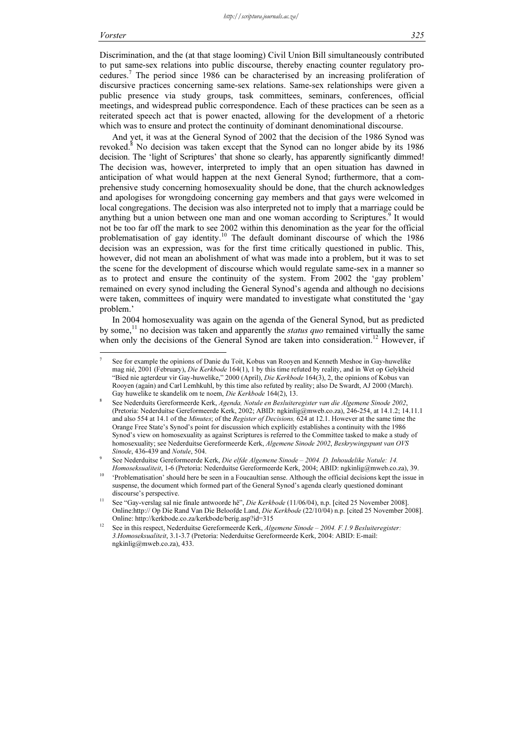Discrimination, and the (at that stage looming) Civil Union Bill simultaneously contributed to put same-sex relations into public discourse, thereby enacting counter regulatory procedures.<sup>7</sup> The period since 1986 can be characterised by an increasing proliferation of discursive practices concerning same-sex relations. Same-sex relationships were given a public presence via study groups, task committees, seminars, conferences, official meetings, and widespread public correspondence. Each of these practices can be seen as a reiterated speech act that is power enacted, allowing for the development of a rhetoric which was to ensure and protect the continuity of dominant denominational discourse.

And yet, it was at the General Synod of 2002 that the decision of the 1986 Synod was revoked.<sup>8</sup> No decision was taken except that the Synod can no longer abide by its 1986 decision. The 'light of Scriptures' that shone so clearly, has apparently significantly dimmed! The decision was, however, interpreted to imply that an open situation has dawned in anticipation of what would happen at the next General Synod; furthermore, that a comprehensive study concerning homosexuality should be done, that the church acknowledges and apologises for wrongdoing concerning gay members and that gays were welcomed in local congregations. The decision was also interpreted not to imply that a marriage could be anything but a union between one man and one woman according to Scriptures.<sup>9</sup> It would not be too far off the mark to see 2002 within this denomination as the year for the official problematisation of gay identity.<sup>10</sup> The default dominant discourse of which the 1986 decision was an expression, was for the first time critically questioned in public. This, however, did not mean an abolishment of what was made into a problem, but it was to set the scene for the development of discourse which would regulate same-sex in a manner so as to protect and ensure the continuity of the system. From 2002 the 'gay problem' remained on every synod including the General Synod's agenda and although no decisions were taken, committees of inquiry were mandated to investigate what constituted the 'gay problem.'

In 2004 homosexuality was again on the agenda of the General Synod, but as predicted by some,<sup>11</sup> no decision was taken and apparently the *status quo* remained virtually the same when only the decisions of the General Synod are taken into consideration.<sup>12</sup> However, if

<sup>7</sup> See for example the opinions of Danie du Toit, Kobus van Rooyen and Kenneth Meshoe in Gay-huwelike mag nié, 2001 (February), Die Kerkbode 164(1), 1 by this time refuted by reality, and in Wet op Gelykheid "Bied nie agterdeur vir Gay-huwelike," 2000 (April), Die Kerkbode 164(3), 2, the opinions of Kobus van Rooyen (again) and Carl Lemhkuhl, by this time also refuted by reality; also De Swardt, AJ 2000 (March). Gay huwelike te skandelik om te noem, Die Kerkbode 164(2), 13.

<sup>8</sup> See Nederduits Gereformeerde Kerk, Agenda, Notule en Besluiteregister van die Algemene Sinode 2002, (Pretoria: Nederduitse Gereformeerde Kerk, 2002; ABID: ngkinlig@mweb.co.za), 246-254, at 14.1.2; 14.11.1 and also 554 at 14.1 of the Minutes; of the Register of Decisions, 624 at 12.1. However at the same time the Orange Free State's Synod's point for discussion which explicitly establishes a continuity with the 1986 Synod's view on homosexuality as against Scriptures is referred to the Committee tasked to make a study of homosexuality; see Nederduitse Gereformeerde Kerk, Algemene Sinode 2002, Beskrywingspunt van OVS Sinode, 436-439 and Notule, 504.

<sup>9</sup> See Nederduitse Gereformeerde Kerk, Die elfde Algemene Sinode – 2004. D. Inhoudelike Notule: 14. Homoseksualiteit, 1-6 (Pretoria: Nederduitse Gereformeerde Kerk, 2004; ABID: ngkinlig@mweb.co.za), 39.

<sup>&</sup>lt;sup>10</sup> 'Problematisation' should here be seen in a Foucaultian sense. Although the official decisions kept the issue in suspense, the document which formed part of the General Synod's agenda clearly questioned dominant discourse's perspective.

<sup>11</sup> See "Gay-verslag sal nie finale antwoorde hê", Die Kerkbode (11/06/04), n.p. [cited 25 November 2008]. Online:http:// Op Die Rand Van Die Beloofde Land, Die Kerkbode (22/10/04) n.p. [cited 25 November 2008]. Online: http://kerkbode.co.za/kerkbode/berig.asp?id=315

See in this respect, Nederduitse Gereformeerde Kerk, Algemene Sinode - 2004. F.1.9 Besluiteregister: 3.Homoseksualiteit, 3.1-3.7 (Pretoria: Nederduitse Gereformeerde Kerk, 2004: ABID: E-mail: ngkinlig@mweb.co.za), 433.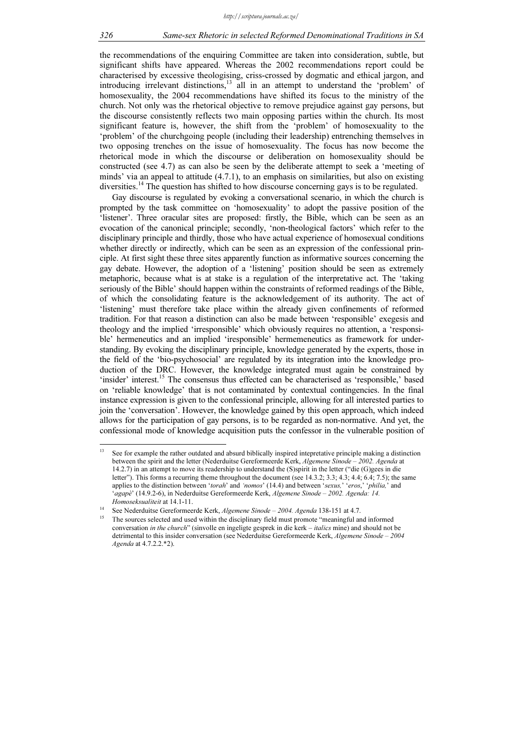the recommendations of the enquiring Committee are taken into consideration, subtle, but significant shifts have appeared. Whereas the 2002 recommendations report could be characterised by excessive theologising, criss-crossed by dogmatic and ethical jargon, and introducing irrelevant distinctions,<sup>13</sup> all in an attempt to understand the 'problem' of homosexuality, the 2004 recommendations have shifted its focus to the ministry of the church. Not only was the rhetorical objective to remove prejudice against gay persons, but the discourse consistently reflects two main opposing parties within the church. Its most significant feature is, however, the shift from the 'problem' of homosexuality to the 'problem' of the churchgoing people (including their leadership) entrenching themselves in two opposing trenches on the issue of homosexuality. The focus has now become the rhetorical mode in which the discourse or deliberation on homosexuality should be constructed (see 4.7) as can also be seen by the deliberate attempt to seek a 'meeting of minds' via an appeal to attitude (4.7.1), to an emphasis on similarities, but also on existing diversities.<sup>14</sup> The question has shifted to how discourse concerning gays is to be regulated.

Gay discourse is regulated by evoking a conversational scenario, in which the church is prompted by the task committee on 'homosexuality' to adopt the passive position of the 'listener'. Three oracular sites are proposed: firstly, the Bible, which can be seen as an evocation of the canonical principle; secondly, 'non-theological factors' which refer to the disciplinary principle and thirdly, those who have actual experience of homosexual conditions whether directly or indirectly, which can be seen as an expression of the confessional principle. At first sight these three sites apparently function as informative sources concerning the gay debate. However, the adoption of a 'listening' position should be seen as extremely metaphoric, because what is at stake is a regulation of the interpretative act. The 'taking seriously of the Bible' should happen within the constraints of reformed readings of the Bible, of which the consolidating feature is the acknowledgement of its authority. The act of 'listening' must therefore take place within the already given confinements of reformed tradition. For that reason a distinction can also be made between 'responsible' exegesis and theology and the implied 'irresponsible' which obviously requires no attention, a 'responsible' hermeneutics and an implied 'iresponsible' hermemeneutics as framework for understanding. By evoking the disciplinary principle, knowledge generated by the experts, those in the field of the 'bio-psychosocial' are regulated by its integration into the knowledge production of the DRC. However, the knowledge integrated must again be constrained by 'insider' interest.<sup>15</sup> The consensus thus effected can be characterised as 'responsible,' based on 'reliable knowledge' that is not contaminated by contextual contingencies. In the final instance expression is given to the confessional principle, allowing for all interested parties to join the 'conversation'. However, the knowledge gained by this open approach, which indeed allows for the participation of gay persons, is to be regarded as non-normative. And yet, the confessional mode of knowledge acquisition puts the confessor in the vulnerable position of

<sup>&</sup>lt;sup>13</sup> See for example the rather outdated and absurd biblically inspired intepretative principle making a distinction between the spirit and the letter (Nederduitse Gereformeerde Kerk, Algemene Sinode - 2002. Agenda at 14.2.7) in an attempt to move its readership to understand the (S)spirit in the letter ("die (G)gees in die letter"). This forms a recurring theme throughout the document (see 14.3.2; 3.3; 4.3; 4.4; 6.4; 7.5); the same applies to the distinction between 'torah' and 'nomos' (14.4) and between 'sexus,' 'eros,' 'philia,' and 'agapè' (14.9.2-6), in Nederduitse Gereformeerde Kerk, Algemene Sinode - 2002. Agenda: 14. Homoseksualiteit at 14.1-11.<br><sup>14</sup> See Nederduitse Gereformeerde Kerk, Algemene Sinode – 2004. Agenda 138-151 at 4.7.

<sup>15</sup> The sources selected and used within the disciplinary field must promote "meaningful and informed conversation in the church" (sinvolle en ingeligte gesprek in die kerk – italics mine) and should not be detrimental to this insider conversation (see Nederduitse Gereformeerde Kerk, Algemene Sinode – 2004 Agenda at 4.7.2.2.\*2).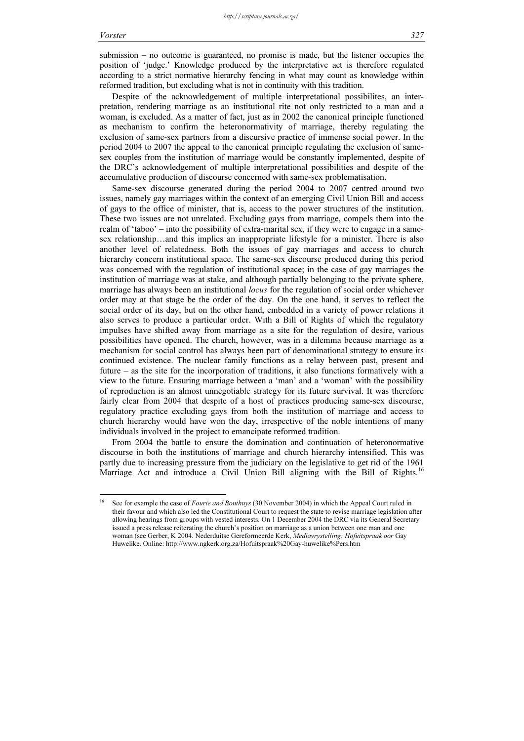submission – no outcome is guaranteed, no promise is made, but the listener occupies the position of 'judge.' Knowledge produced by the interpretative act is therefore regulated according to a strict normative hierarchy fencing in what may count as knowledge within reformed tradition, but excluding what is not in continuity with this tradition.

Despite of the acknowledgement of multiple interpretational possibilites, an interpretation, rendering marriage as an institutional rite not only restricted to a man and a woman, is excluded. As a matter of fact, just as in 2002 the canonical principle functioned as mechanism to confirm the heteronormativity of marriage, thereby regulating the exclusion of same-sex partners from a discursive practice of immense social power. In the period 2004 to 2007 the appeal to the canonical principle regulating the exclusion of samesex couples from the institution of marriage would be constantly implemented, despite of the DRC's acknowledgement of multiple interpretational possibilities and despite of the accumulative production of discourse concerned with same-sex problematisation.

Same-sex discourse generated during the period 2004 to 2007 centred around two issues, namely gay marriages within the context of an emerging Civil Union Bill and access of gays to the office of minister, that is, access to the power structures of the institution. These two issues are not unrelated. Excluding gays from marriage, compels them into the realm of 'taboo' – into the possibility of extra-marital sex, if they were to engage in a samesex relationship…and this implies an inappropriate lifestyle for a minister. There is also another level of relatedness. Both the issues of gay marriages and access to church hierarchy concern institutional space. The same-sex discourse produced during this period was concerned with the regulation of institutional space; in the case of gay marriages the institution of marriage was at stake, and although partially belonging to the private sphere, marriage has always been an institutional locus for the regulation of social order whichever order may at that stage be the order of the day. On the one hand, it serves to reflect the social order of its day, but on the other hand, embedded in a variety of power relations it also serves to produce a particular order. With a Bill of Rights of which the regulatory impulses have shifted away from marriage as a site for the regulation of desire, various possibilities have opened. The church, however, was in a dilemma because marriage as a mechanism for social control has always been part of denominational strategy to ensure its continued existence. The nuclear family functions as a relay between past, present and future – as the site for the incorporation of traditions, it also functions formatively with a view to the future. Ensuring marriage between a 'man' and a 'woman' with the possibility of reproduction is an almost unnegotiable strategy for its future survival. It was therefore fairly clear from 2004 that despite of a host of practices producing same-sex discourse, regulatory practice excluding gays from both the institution of marriage and access to church hierarchy would have won the day, irrespective of the noble intentions of many individuals involved in the project to emancipate reformed tradition.

From 2004 the battle to ensure the domination and continuation of heteronormative discourse in both the institutions of marriage and church hierarchy intensified. This was partly due to increasing pressure from the judiciary on the legislative to get rid of the 1961 Marriage Act and introduce a Civil Union Bill aligning with the Bill of Rights.<sup>16</sup>

See for example the case of Fourie and Bonthuys (30 November 2004) in which the Appeal Court ruled in their favour and which also led the Constitutional Court to request the state to revise marriage legislation after allowing hearings from groups with vested interests. On 1 December 2004 the DRC via its General Secretary issued a press release reiterating the church's position on marriage as a union between one man and one woman (see Gerber, K 2004. Nederduitse Gereformeerde Kerk, Mediavrystelling: Hofuitspraak oor Gay Huwelike. Online: http://www.ngkerk.org.za/Hofuitspraak%20Gay-huwelike%Pers.htm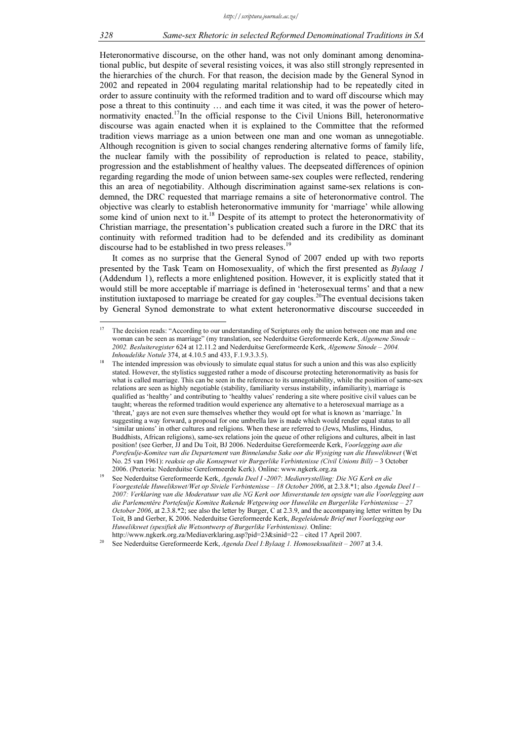Heteronormative discourse, on the other hand, was not only dominant among denominational public, but despite of several resisting voices, it was also still strongly represented in the hierarchies of the church. For that reason, the decision made by the General Synod in 2002 and repeated in 2004 regulating marital relationship had to be repeatedly cited in order to assure continuity with the reformed tradition and to ward off discourse which may pose a threat to this continuity … and each time it was cited, it was the power of heteronormativity enacted.<sup>17</sup>In the official response to the Civil Unions Bill, heteronormative discourse was again enacted when it is explained to the Committee that the reformed tradition views marriage as a union between one man and one woman as unnegotiable. Although recognition is given to social changes rendering alternative forms of family life, the nuclear family with the possibility of reproduction is related to peace, stability, progression and the establishment of healthy values. The deepseated differences of opinion regarding regarding the mode of union between same-sex couples were reflected, rendering this an area of negotiability. Although discrimination against same-sex relations is condemned, the DRC requested that marriage remains a site of heteronormative control. The objective was clearly to establish heteronormative immunity for 'marriage' while allowing some kind of union next to it.<sup>18</sup> Despite of its attempt to protect the heteronormativity of Christian marriage, the presentation's publication created such a furore in the DRC that its continuity with reformed tradition had to be defended and its credibility as dominant discourse had to be established in two press releases.<sup>19</sup>

It comes as no surprise that the General Synod of 2007 ended up with two reports presented by the Task Team on Homosexuality, of which the first presented as Bylaag 1 (Addendum 1), reflects a more enlightened position. However, it is explicitly stated that it would still be more acceptable if marriage is defined in 'heterosexual terms' and that a new institution iuxtaposed to marriage be created for gay couples.<sup>20</sup>The eventual decisions taken by General Synod demonstrate to what extent heteronormative discourse succeeded in

 $\overline{17}$ The decision reads: "According to our understanding of Scriptures only the union between one man and one woman can be seen as marriage" (my translation, see Nederduitse Gereformeerde Kerk, Algemene Sinode – 2002. Besluiteregister 624 at 12.11.2 and Nederduitse Gereformeerde Kerk, Algemene Sinode – 2004. Inhoudelike Notule 374, at 4.10.5 and 433, F.1.9.3.3.5).

<sup>18</sup> The intended impression was obviously to simulate equal status for such a union and this was also explicitly stated. However, the stylistics suggested rather a mode of discourse protecting heteronormativity as basis for what is called marriage. This can be seen in the reference to its unnegotiability, while the position of same-sex relations are seen as highly negotiable (stability, familiarity versus instability, infamiliarity), marriage is qualified as 'healthy' and contributing to 'healthy values' rendering a site where positive civil values can be taught; whereas the reformed tradition would experience any alternative to a heterosexual marriage as a 'threat,' gays are not even sure themselves whether they would opt for what is known as 'marriage.' In suggesting a way forward, a proposal for one umbrella law is made which would render equal status to all 'similar unions' in other cultures and religions. When these are referred to (Jews, Muslims, Hindus, Buddhists, African religions), same-sex relations join the queue of other religions and cultures, albeit in last position! (see Gerber, JJ and Du Toit, BJ 2006. Nederduitse Gereformeerde Kerk, Voorlegging aan die Porefeulje-Komitee van die Departement van Binnelandse Sake oor die Wysiging van die Huwelikswet (Wet No. 25 van 1961): reaksie op die Konsepwet vir Burgerlike Verbintenisse (Civil Unions Bill) – 3 October 2006. (Pretoria: Nederduitse Gereformeerde Kerk). Online: www.ngkerk.org.za

<sup>19</sup> See Nederduitse Gereformeerde Kerk, Agenda Deel I -2007: Mediavrystelling: Die NG Kerk en die Voorgestelde Huwelikswet/Wet op Siviele Verbintenisse – 18 October 2006, at 2.3.8.\*1; also Agenda Deel I – 2007: Verklaring van die Moderatuur van die NG Kerk oor Misverstande ten opsigte van die Voorlegging aan die Parlementêre Portefeulje Komitee Rakende Wetgewing oor Huwelike en Burgerlike Verbintenisse – 27 October 2006, at 2.3.8.\*2; see also the letter by Burger, C at 2.3.9, and the accompanying letter written by Du Toit, B and Gerber, K 2006. Nederduitse Gereformeerde Kerk, Begeleidende Brief met Voorlegging oor Huwelikswet (spesifiek die Wetsontwerp of Burgerlike Verbintenisse). Online:<br>http://www.ngkerk.org.za/Mediaverklaring.asp?pid=23&sinid=22 – cited 17 April 2007.

See Nederduitse Gereformeerde Kerk, Agenda Deel I:Bylaag 1. Homoseksualiteit – 2007 at 3.4.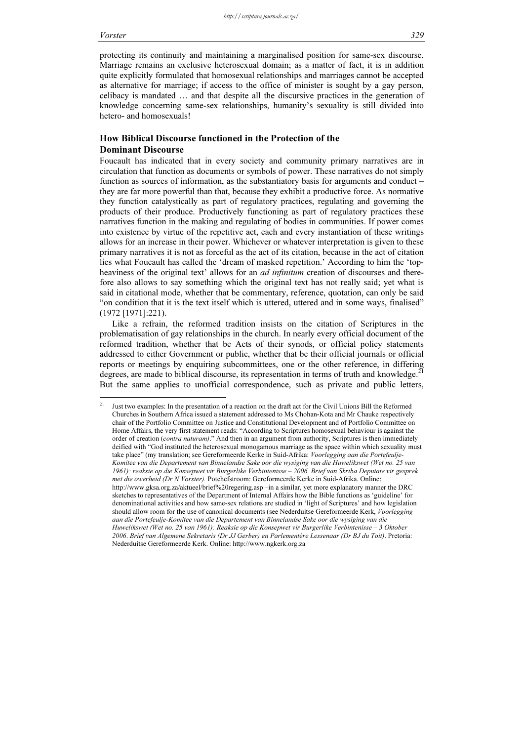protecting its continuity and maintaining a marginalised position for same-sex discourse. Marriage remains an exclusive heterosexual domain; as a matter of fact, it is in addition quite explicitly formulated that homosexual relationships and marriages cannot be accepted as alternative for marriage; if access to the office of minister is sought by a gay person, celibacy is mandated … and that despite all the discursive practices in the generation of knowledge concerning same-sex relationships, humanity's sexuality is still divided into hetero- and homosexuals!

# How Biblical Discourse functioned in the Protection of the Dominant Discourse

Foucault has indicated that in every society and community primary narratives are in circulation that function as documents or symbols of power. These narratives do not simply function as sources of information, as the substantiatory basis for arguments and conduct – they are far more powerful than that, because they exhibit a productive force. As normative they function catalystically as part of regulatory practices, regulating and governing the products of their produce. Productively functioning as part of regulatory practices these narratives function in the making and regulating of bodies in communities. If power comes into existence by virtue of the repetitive act, each and every instantiation of these writings allows for an increase in their power. Whichever or whatever interpretation is given to these primary narratives it is not as forceful as the act of its citation, because in the act of citation lies what Foucault has called the 'dream of masked repetition.' According to him the 'topheaviness of the original text' allows for an *ad infinitum* creation of discourses and therefore also allows to say something which the original text has not really said; yet what is said in citational mode, whether that be commentary, reference, quotation, can only be said "on condition that it is the text itself which is uttered, uttered and in some ways, finalised" (1972 [1971]:221).

Like a refrain, the reformed tradition insists on the citation of Scriptures in the problematisation of gay relationships in the church. In nearly every official document of the reformed tradition, whether that be Acts of their synods, or official policy statements addressed to either Government or public, whether that be their official journals or official reports or meetings by enquiring subcommittees, one or the other reference, in differing degrees, are made to biblical discourse, its representation in terms of truth and knowledge.<sup>21</sup> But the same applies to unofficial correspondence, such as private and public letters,

<sup>21</sup> Just two examples: In the presentation of a reaction on the draft act for the Civil Unions Bill the Reformed Churches in Southern Africa issued a statement addressed to Ms Chohan-Kota and Mr Chauke respectively chair of the Portfolio Committee on Justice and Constitutional Development and of Portfolio Committee on Home Affairs, the very first statement reads: "According to Scriptures homosexual behaviour is against the order of creation (*contra naturam*)." And then in an argument from authority, Scriptures is then immediately deified with "God instituted the heterosexual monogamous marriage as the space within which sexuality must take place" (my translation; see Gereformeerde Kerke in Suid-Afrika: Voorlegging aan die Portefeulje-Komitee van die Departement van Binnelandse Sake oor die wysiging van die Huwelikswet (Wet no. 25 van 1961): reaksie op die Konsepwet vir Burgerlike Verbintenisse – 2006. Brief van Skriba Deputate vir gesprek met die owerheid (Dr N Vorster). Potchefstroom: Gereformeerde Kerke in Suid-Afrika. Online: http://www.gksa.org.za/aktueel/brief%20regering.asp –in a similar, yet more explanatory manner the DRC sketches to representatives of the Department of Internal Affairs how the Bible functions as 'guideline' for denominational activities and how same-sex relations are studied in 'light of Scriptures' and how legislation should allow room for the use of canonical documents (see Nederduitse Gereformeerde Kerk, *Voorlegging* aan die Portefeulje-Komitee van die Departement van Binnelandse Sake oor die wysiging van die Huwelikswet (Wet no. 25 van 1961): Reaksie op die Konsepwet vir Burgerlike Verbintenisse – 3 Oktober 2006. Brief van Algemene Sekretaris (Dr JJ Gerber) en Parlementêre Lessenaar (Dr BJ du Toit). Pretoria: Nederduitse Gereformeerde Kerk. Online: http://www.ngkerk.org.za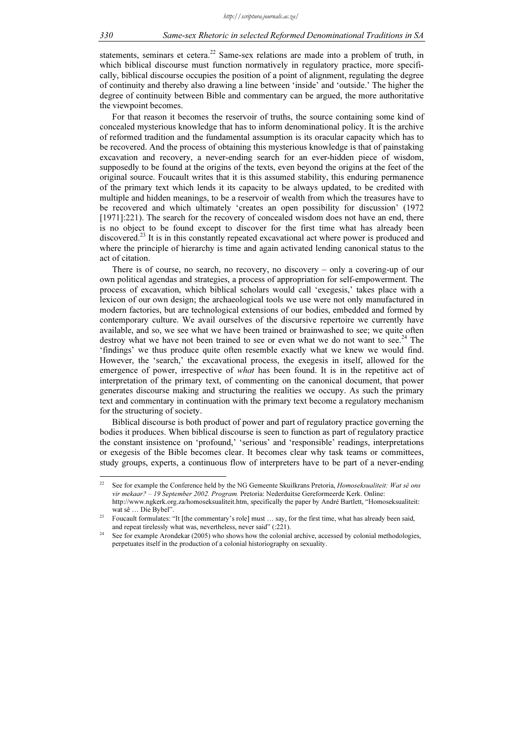statements, seminars et cetera.<sup>22</sup> Same-sex relations are made into a problem of truth, in which biblical discourse must function normatively in regulatory practice, more specifically, biblical discourse occupies the position of a point of alignment, regulating the degree of continuity and thereby also drawing a line between 'inside' and 'outside.' The higher the degree of continuity between Bible and commentary can be argued, the more authoritative the viewpoint becomes.

For that reason it becomes the reservoir of truths, the source containing some kind of concealed mysterious knowledge that has to inform denominational policy. It is the archive of reformed tradition and the fundamental assumption is its oracular capacity which has to be recovered. And the process of obtaining this mysterious knowledge is that of painstaking excavation and recovery, a never-ending search for an ever-hidden piece of wisdom, supposedly to be found at the origins of the texts, even beyond the origins at the feet of the original source. Foucault writes that it is this assumed stability, this enduring permanence of the primary text which lends it its capacity to be always updated, to be credited with multiple and hidden meanings, to be a reservoir of wealth from which the treasures have to be recovered and which ultimately 'creates an open possibility for discussion' (1972 [1971]:221). The search for the recovery of concealed wisdom does not have an end, there is no object to be found except to discover for the first time what has already been discovered.<sup>23</sup> It is in this constantly repeated excavational act where power is produced and where the principle of hierarchy is time and again activated lending canonical status to the act of citation.

There is of course, no search, no recovery, no discovery – only a covering-up of our own political agendas and strategies, a process of appropriation for self-empowerment. The process of excavation, which biblical scholars would call 'exegesis,' takes place with a lexicon of our own design; the archaeological tools we use were not only manufactured in modern factories, but are technological extensions of our bodies, embedded and formed by contemporary culture. We avail ourselves of the discursive repertoire we currently have available, and so, we see what we have been trained or brainwashed to see; we quite often destroy what we have not been trained to see or even what we do not want to see.<sup>24</sup> The 'findings' we thus produce quite often resemble exactly what we knew we would find. However, the 'search,' the excavational process, the exegesis in itself, allowed for the emergence of power, irrespective of what has been found. It is in the repetitive act of interpretation of the primary text, of commenting on the canonical document, that power generates discourse making and structuring the realities we occupy. As such the primary text and commentary in continuation with the primary text become a regulatory mechanism for the structuring of society.

Biblical discourse is both product of power and part of regulatory practice governing the bodies it produces. When biblical discourse is seen to function as part of regulatory practice the constant insistence on 'profound,' 'serious' and 'responsible' readings, interpretations or exegesis of the Bible becomes clear. It becomes clear why task teams or committees, study groups, experts, a continuous flow of interpreters have to be part of a never-ending

<sup>&</sup>lt;sup>22</sup> See for example the Conference held by the NG Gemeente Skuilkrans Pretoria, *Homoseksualiteit: Wat sê ons* vir mekaar? - 19 September 2002. Program. Pretoria: Nederduitse Gereformeerde Kerk. Online: http://www.ngkerk.org.za/homoseksualiteit.htm, specifically the paper by André Bartlett, "Homoseksualiteit: wat sê … Die Bybel".

<sup>23</sup> Foucault formulates: "It [the commentary's role] must … say, for the first time, what has already been said, and repeat tirelessly what was, nevertheless, never said" (:221).

See for example Arondekar (2005) who shows how the colonial archive, accessed by colonial methodologies, perpetuates itself in the production of a colonial historiography on sexuality.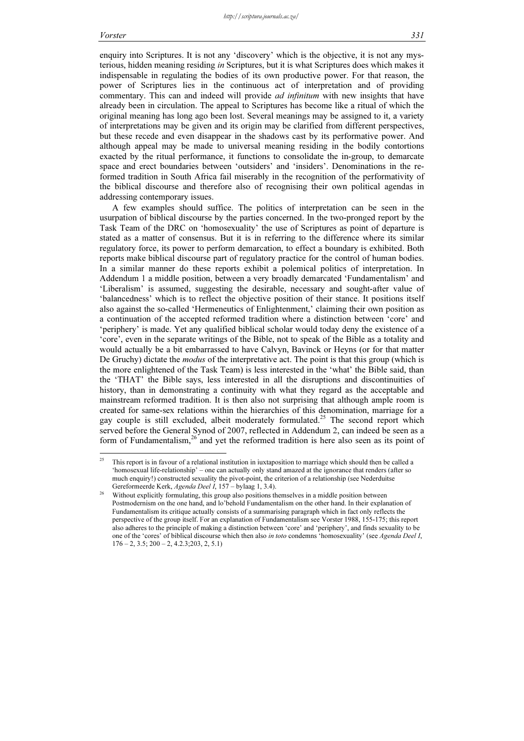enquiry into Scriptures. It is not any 'discovery' which is the objective, it is not any mysterious, hidden meaning residing in Scriptures, but it is what Scriptures does which makes it indispensable in regulating the bodies of its own productive power. For that reason, the power of Scriptures lies in the continuous act of interpretation and of providing commentary. This can and indeed will provide *ad infinitum* with new insights that have already been in circulation. The appeal to Scriptures has become like a ritual of which the original meaning has long ago been lost. Several meanings may be assigned to it, a variety of interpretations may be given and its origin may be clarified from different perspectives, but these recede and even disappear in the shadows cast by its performative power. And although appeal may be made to universal meaning residing in the bodily contortions exacted by the ritual performance, it functions to consolidate the in-group, to demarcate space and erect boundaries between 'outsiders' and 'insiders'. Denominations in the reformed tradition in South Africa fail miserably in the recognition of the performativity of the biblical discourse and therefore also of recognising their own political agendas in addressing contemporary issues.

A few examples should suffice. The politics of interpretation can be seen in the usurpation of biblical discourse by the parties concerned. In the two-pronged report by the Task Team of the DRC on 'homosexuality' the use of Scriptures as point of departure is stated as a matter of consensus. But it is in referring to the difference where its similar regulatory force, its power to perform demarcation, to effect a boundary is exhibited. Both reports make biblical discourse part of regulatory practice for the control of human bodies. In a similar manner do these reports exhibit a polemical politics of interpretation. In Addendum 1 a middle position, between a very broadly demarcated 'Fundamentalism' and 'Liberalism' is assumed, suggesting the desirable, necessary and sought-after value of 'balancedness' which is to reflect the objective position of their stance. It positions itself also against the so-called 'Hermeneutics of Enlightenment,' claiming their own position as a continuation of the accepted reformed tradition where a distinction between 'core' and 'periphery' is made. Yet any qualified biblical scholar would today deny the existence of a 'core', even in the separate writings of the Bible, not to speak of the Bible as a totality and would actually be a bit embarrassed to have Calvyn, Bavinck or Heyns (or for that matter De Gruchy) dictate the *modus* of the interpretative act. The point is that this group (which is the more enlightened of the Task Team) is less interested in the 'what' the Bible said, than the 'THAT' the Bible says, less interested in all the disruptions and discontinuities of history, than in demonstrating a continuity with what they regard as the acceptable and mainstream reformed tradition. It is then also not surprising that although ample room is created for same-sex relations within the hierarchies of this denomination, marriage for a gay couple is still excluded, albeit moderately formulated.<sup>25</sup> The second report which served before the General Synod of 2007, reflected in Addendum 2, can indeed be seen as a form of Fundamentalism, $^{26}$  and yet the reformed tradition is here also seen as its point of

<sup>25</sup> <sup>25</sup> This report is in favour of a relational institution in iuxtaposition to marriage which should then be called a 'homosexual life-relationship' – one can actually only stand amazed at the ignorance that renders (after so much enquiry!) constructed sexuality the pivot-point, the criterion of a relationship (see Nederduitse Gereformeerde Kerk, Agenda Deel I, 157 – bylaag 1, 3.4).

<sup>&</sup>lt;sup>26</sup> Without explicitly formulating, this group also positions themselves in a middle position between Postmodernism on the one hand, and lo'behold Fundamentalism on the other hand. In their explanation of Fundamentalism its critique actually consists of a summarising paragraph which in fact only reflects the perspective of the group itself. For an explanation of Fundamentalism see Vorster 1988, 155-175; this report also adheres to the principle of making a distinction between 'core' and 'periphery', and finds sexuality to be one of the 'cores' of biblical discourse which then also in toto condemns 'homosexuality' (see Agenda Deel I,  $176 - 2$ ,  $3.5$ ;  $200 - 2$ ,  $4.2.3$ ;  $203$ ,  $2$ ,  $5.1$ )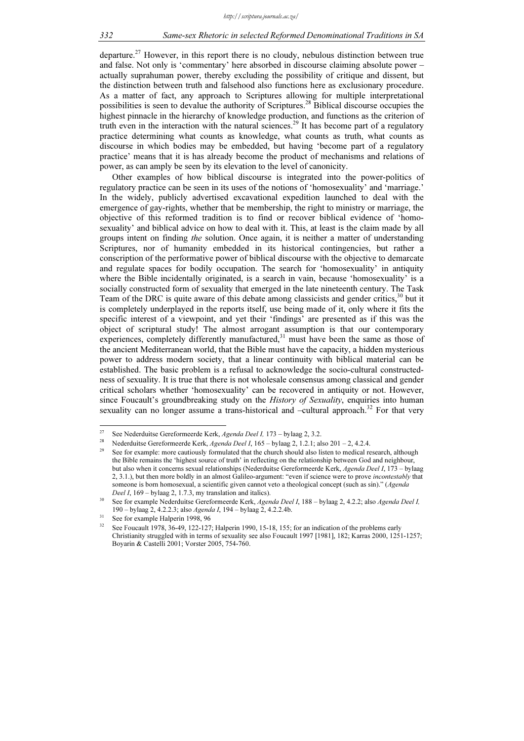departure.<sup>27</sup> However, in this report there is no cloudy, nebulous distinction between true and false. Not only is 'commentary' here absorbed in discourse claiming absolute power – actually suprahuman power, thereby excluding the possibility of critique and dissent, but the distinction between truth and falsehood also functions here as exclusionary procedure. As a matter of fact, any approach to Scriptures allowing for multiple interpretational possibilities is seen to devalue the authority of Scriptures.<sup>28</sup> Biblical discourse occupies the highest pinnacle in the hierarchy of knowledge production, and functions as the criterion of truth even in the interaction with the natural sciences.<sup>29</sup> It has become part of a regulatory practice determining what counts as knowledge, what counts as truth, what counts as discourse in which bodies may be embedded, but having 'become part of a regulatory practice' means that it is has already become the product of mechanisms and relations of power, as can amply be seen by its elevation to the level of canonicity.

Other examples of how biblical discourse is integrated into the power-politics of regulatory practice can be seen in its uses of the notions of 'homosexuality' and 'marriage.' In the widely, publicly advertised excavational expedition launched to deal with the emergence of gay-rights, whether that be membership, the right to ministry or marriage, the objective of this reformed tradition is to find or recover biblical evidence of 'homosexuality' and biblical advice on how to deal with it. This, at least is the claim made by all groups intent on finding the solution. Once again, it is neither a matter of understanding Scriptures, nor of humanity embedded in its historical contingencies, but rather a conscription of the performative power of biblical discourse with the objective to demarcate and regulate spaces for bodily occupation. The search for 'homosexuality' in antiquity where the Bible incidentally originated, is a search in vain, because 'homosexuality' is a socially constructed form of sexuality that emerged in the late nineteenth century. The Task Team of the DRC is quite aware of this debate among classicists and gender critics, $30$  but it is completely underplayed in the reports itself, use being made of it, only where it fits the specific interest of a viewpoint, and yet their 'findings' are presented as if this was the object of scriptural study! The almost arrogant assumption is that our contemporary experiences, completely differently manufactured, $31$  must have been the same as those of the ancient Mediterranean world, that the Bible must have the capacity, a hidden mysterious power to address modern society, that a linear continuity with biblical material can be established. The basic problem is a refusal to acknowledge the socio-cultural constructedness of sexuality. It is true that there is not wholesale consensus among classical and gender critical scholars whether 'homosexuality' can be recovered in antiquity or not. However, since Foucault's groundbreaking study on the *History of Sexuality*, enquiries into human sexuality can no longer assume a trans-historical and –cultural approach.<sup>32</sup> For that very

 $27$ 

<sup>&</sup>lt;sup>27</sup> See Nederduitse Gereformeerde Kerk, *Agenda Deel I*, 173 – bylaag 2, 3.2.<br><sup>28</sup> Nederduitse Gereformeerde Kerk, *Agenda Deel I*, 165 – bylaag 2, 1.2.1; also 201 – 2, 4.2.4.<br><sup>29</sup> See for example: more cautiously formul the Bible remains the 'highest source of truth' in reflecting on the relationship between God and neighbour, but also when it concerns sexual relationships (Nederduitse Gereformeerde Kerk, Agenda Deel I, 173 – bylaag 2, 3.1.), but then more boldly in an almost Galileo-argument: "even if science were to prove incontestably that someone is born homosexual, a scientific given cannot veto a theological concept (such as sin)." (Agenda Deel I, 169 – bylaag 2, 1.7.3, my translation and italics).

See for example Nederduitse Gereformeerde Kerk, Agenda Deel I, 188 – bylaag 2, 4.2.2; also Agenda Deel I, 190 – bylaag 2, 4.2.2.3; also *Agenda I*, 194 – bylaag 2, 4.2.2.4b. See for example Halperin 1998, 96

See Foucault 1978, 36-49, 122-127; Halperin 1990, 15-18, 155; for an indication of the problems early Christianity struggled with in terms of sexuality see also Foucault 1997 [1981], 182; Karras 2000, 1251-1257; Boyarin & Castelli 2001; Vorster 2005, 754-760.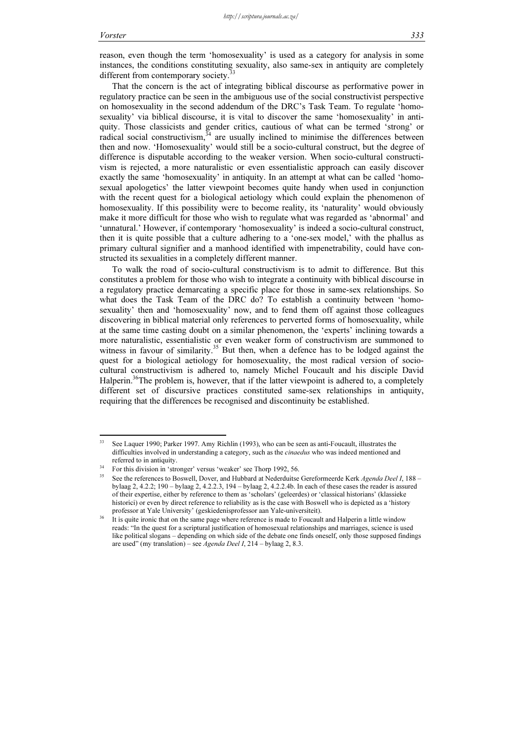reason, even though the term 'homosexuality' is used as a category for analysis in some instances, the conditions constituting sexuality, also same-sex in antiquity are completely different from contemporary society.<sup>3</sup>

That the concern is the act of integrating biblical discourse as performative power in regulatory practice can be seen in the ambiguous use of the social constructivist perspective on homosexuality in the second addendum of the DRC's Task Team. To regulate 'homosexuality' via biblical discourse, it is vital to discover the same 'homosexuality' in antiquity. Those classicists and gender critics, cautious of what can be termed 'strong' or radical social constructivism, $34$  are usually inclined to minimise the differences between then and now. 'Homosexuality' would still be a socio-cultural construct, but the degree of difference is disputable according to the weaker version. When socio-cultural constructivism is rejected, a more naturalistic or even essentialistic approach can easily discover exactly the same 'homosexuality' in antiquity. In an attempt at what can be called 'homosexual apologetics' the latter viewpoint becomes quite handy when used in conjunction with the recent quest for a biological aetiology which could explain the phenomenon of homosexuality. If this possibility were to become reality, its 'naturality' would obviously make it more difficult for those who wish to regulate what was regarded as 'abnormal' and 'unnatural.' However, if contemporary 'homosexuality' is indeed a socio-cultural construct, then it is quite possible that a culture adhering to a 'one-sex model,' with the phallus as primary cultural signifier and a manhood identified with impenetrability, could have constructed its sexualities in a completely different manner.

To walk the road of socio-cultural constructivism is to admit to difference. But this constitutes a problem for those who wish to integrate a continuity with biblical discourse in a regulatory practice demarcating a specific place for those in same-sex relationships. So what does the Task Team of the DRC do? To establish a continuity between 'homosexuality' then and 'homosexuality' now, and to fend them off against those colleagues discovering in biblical material only references to perverted forms of homosexuality, while at the same time casting doubt on a similar phenomenon, the 'experts' inclining towards a more naturalistic, essentialistic or even weaker form of constructivism are summoned to witness in favour of similarity.<sup>35</sup> But then, when a defence has to be lodged against the quest for a biological aetiology for homosexuality, the most radical version of sociocultural constructivism is adhered to, namely Michel Foucault and his disciple David Halperin.<sup>36</sup>The problem is, however, that if the latter viewpoint is adhered to, a completely different set of discursive practices constituted same-sex relationships in antiquity, requiring that the differences be recognised and discontinuity be established.

 $33$ See Laquer 1990; Parker 1997. Amy Richlin (1993), who can be seen as anti-Foucault, illustrates the difficulties involved in understanding a category, such as the *cinaedus* who was indeed mentioned and referred to in antiquity.<br>34 For this division in 'stronger' versus 'weaker' see Thorp 1992, 56.

See the references to Boswell, Dover, and Hubbard at Nederduitse Gereformeerde Kerk Agenda Deel I, 188 – bylaag 2, 4.2.2; 190 – bylaag 2, 4.2.2.3, 194 – bylaag 2, 4.2.2.4b. In each of these cases the reader is assured of their expertise, either by reference to them as 'scholars' (geleerdes) or 'classical historians' (klassieke historici) or even by direct reference to reliability as is the case with Boswell who is depicted as a 'history professor at Yale University' (geskiedenisprofessor aan Yale-universiteit).

It is quite ironic that on the same page where reference is made to Foucault and Halperin a little window reads: "In the quest for a scriptural justification of homosexual relationships and marriages, science is used like political slogans – depending on which side of the debate one finds oneself, only those supposed findings are used" (my translation) – see Agenda Deel I,  $214$  – bylaag 2, 8.3.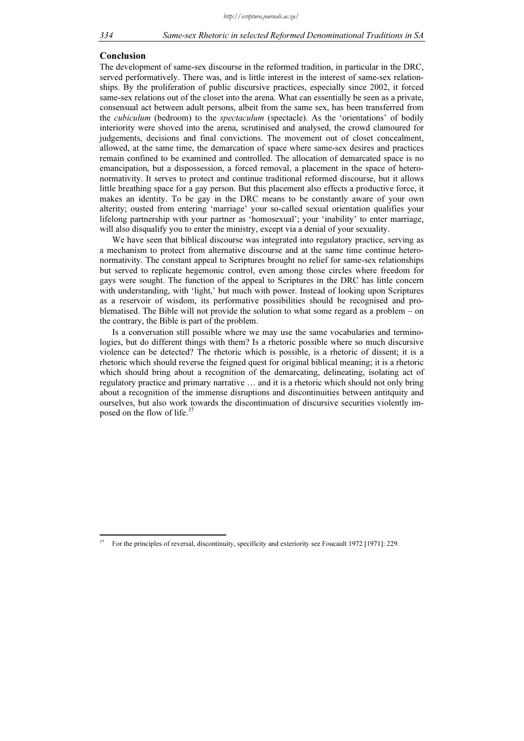#### Conclusion

The development of same-sex discourse in the reformed tradition, in particular in the DRC, served performatively. There was, and is little interest in the interest of same-sex relationships. By the proliferation of public discursive practices, especially since 2002, it forced same-sex relations out of the closet into the arena. What can essentially be seen as a private, consensual act between adult persons, albeit from the same sex, has been transferred from the *cubiculum* (bedroom) to the *spectaculum* (spectacle). As the 'orientations' of bodily interiority were shoved into the arena, scrutinised and analysed, the crowd clamoured for judgements, decisions and final convictions. The movement out of closet concealment, allowed, at the same time, the demarcation of space where same-sex desires and practices remain confined to be examined and controlled. The allocation of demarcated space is no emancipation, but a dispossession, a forced removal, a placement in the space of heteronormativity. It serves to protect and continue traditional reformed discourse, but it allows little breathing space for a gay person. But this placement also effects a productive force, it makes an identity. To be gay in the DRC means to be constantly aware of your own alterity; ousted from entering 'marriage' your so-called sexual orientation qualifies your lifelong partnership with your partner as 'homosexual'; your 'inability' to enter marriage, will also disqualify you to enter the ministry, except via a denial of your sexuality.

We have seen that biblical discourse was integrated into regulatory practice, serving as a mechanism to protect from alternative discourse and at the same time continue heteronormativity. The constant appeal to Scriptures brought no relief for same-sex relationships but served to replicate hegemonic control, even among those circles where freedom for gays were sought. The function of the appeal to Scriptures in the DRC has little concern with understanding, with 'light,' but much with power. Instead of looking upon Scriptures as a reservoir of wisdom, its performative possibilities should be recognised and problematised. The Bible will not provide the solution to what some regard as a problem – on the contrary, the Bible is part of the problem.

Is a conversation still possible where we may use the same vocabularies and terminologies, but do different things with them? Is a rhetoric possible where so much discursive violence can be detected? The rhetoric which is possible, is a rhetoric of dissent; it is a rhetoric which should reverse the feigned quest for original biblical meaning; it is a rhetoric which should bring about a recognition of the demarcating, delineating, isolating act of regulatory practice and primary narrative … and it is a rhetoric which should not only bring about a recognition of the immense disruptions and discontinuities between antitquity and ourselves, but also work towards the discontinuation of discursive securities violently imposed on the flow of life. $37$ 

<sup>37</sup> For the principles of reversal, discontinuity, specificity and exteriority see Foucault 1972 [1971]: 229.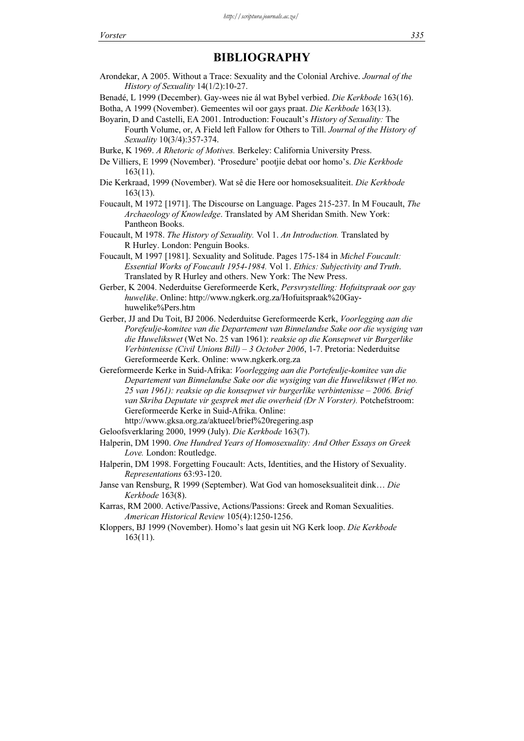# BIBLIOGRAPHY

Arondekar, A 2005. Without a Trace: Sexuality and the Colonial Archive. Journal of the History of Sexuality 14(1/2):10-27.

Benadé, L 1999 (December). Gay-wees nie ál wat Bybel verbied. Die Kerkbode 163(16).

Botha, A 1999 (November). Gemeentes wil oor gays praat. Die Kerkbode 163(13).

Boyarin, D and Castelli, EA 2001. Introduction: Foucault's History of Sexuality: The Fourth Volume, or, A Field left Fallow for Others to Till. Journal of the History of Sexuality 10(3/4):357-374.

Burke, K 1969. A Rhetoric of Motives. Berkeley: California University Press.

De Villiers, E 1999 (November). 'Prosedure' pootjie debat oor homo's. Die Kerkbode 163(11).

- Die Kerkraad, 1999 (November). Wat sê die Here oor homoseksualiteit. Die Kerkbode 163(13).
- Foucault, M 1972 [1971]. The Discourse on Language. Pages 215-237. In M Foucault, The Archaeology of Knowledge. Translated by AM Sheridan Smith. New York: Pantheon Books.
- Foucault, M 1978. The History of Sexuality. Vol 1. An Introduction. Translated by R Hurley. London: Penguin Books.
- Foucault, M 1997 [1981]. Sexuality and Solitude. Pages 175-184 in Michel Foucault: Essential Works of Foucault 1954-1984. Vol 1. Ethics: Subjectivity and Truth. Translated by R Hurley and others. New York: The New Press.
- Gerber, K 2004. Nederduitse Gereformeerde Kerk, Persvrystelling: Hofuitspraak oor gay huwelike. Online: http://www.ngkerk.org.za/Hofuitspraak%20Gayhuwelike%Pers.htm
- Gerber, JJ and Du Toit, BJ 2006. Nederduitse Gereformeerde Kerk, Voorlegging aan die Porefeulje-komitee van die Departement van Binnelandse Sake oor die wysiging van die Huwelikswet (Wet No. 25 van 1961): reaksie op die Konsepwet vir Burgerlike Verbintenisse (Civil Unions Bill) – 3 October 2006, 1-7. Pretoria: Nederduitse Gereformeerde Kerk. Online: www.ngkerk.org.za
- Gereformeerde Kerke in Suid-Afrika: Voorlegging aan die Portefeulje-komitee van die Departement van Binnelandse Sake oor die wysiging van die Huwelikswet (Wet no. 25 van 1961): reaksie op die konsepwet vir burgerlike verbintenisse – 2006. Brief van Skriba Deputate vir gesprek met die owerheid (Dr N Vorster). Potchefstroom: Gereformeerde Kerke in Suid-Afrika. Online:

http://www.gksa.org.za/aktueel/brief%20regering.asp

Geloofsverklaring 2000, 1999 (July). Die Kerkbode 163(7).

Halperin, DM 1990. One Hundred Years of Homosexuality: And Other Essays on Greek Love. London: Routledge.

- Halperin, DM 1998. Forgetting Foucault: Acts, Identities, and the History of Sexuality. Representations 63:93-120.
- Janse van Rensburg, R 1999 (September). Wat God van homoseksualiteit dink… Die Kerkbode 163(8).

Karras, RM 2000. Active/Passive, Actions/Passions: Greek and Roman Sexualities. American Historical Review 105(4):1250-1256.

Kloppers, BJ 1999 (November). Homo's laat gesin uit NG Kerk loop. Die Kerkbode 163(11).